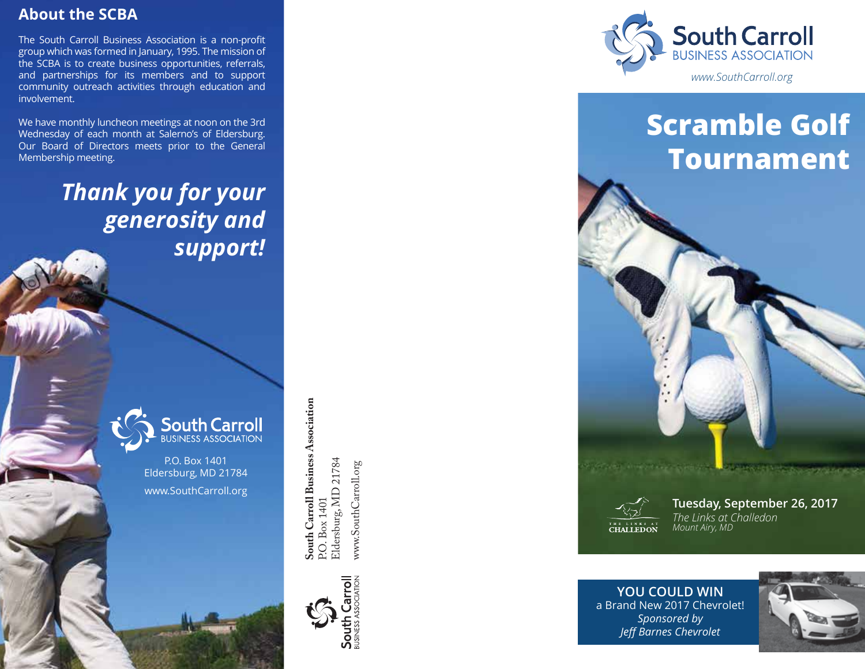### **About the SCBA**

The South Carroll Business Association is a non-profit group which was formed in January, 1995. The mission of the SCBA is to create business opportunities, referrals, and partnerships for its members and to support community outreach activities through education and involvement.

We have monthly luncheon meetings at noon on the 3rd Wednesday of each month at Salerno's of Eldersburg. Our Board of Directors meets prior to the General Membership meeting.

> *Thank you for your generosity and support!*



P.O. Box 1401 Eldersburg, MD 21784 www.SouthCarroll.org



South Carroll Business Association<br>P.O. Box 1401 **South Carroll Business Association** g, MD 21784 www.SouthCarroll.org P.O. Box 1401 Eldersbur





# **Scramble Golf Tournament**



**Tuesday, September 26, 2017** *The Links at Challedon Mount Airy, MD*

**Malakec**hill

**YOU COULD WIN** a Brand New 2017 Chevrolet! *Sponsored by Jeff Barnes Chevrolet*

they complete.